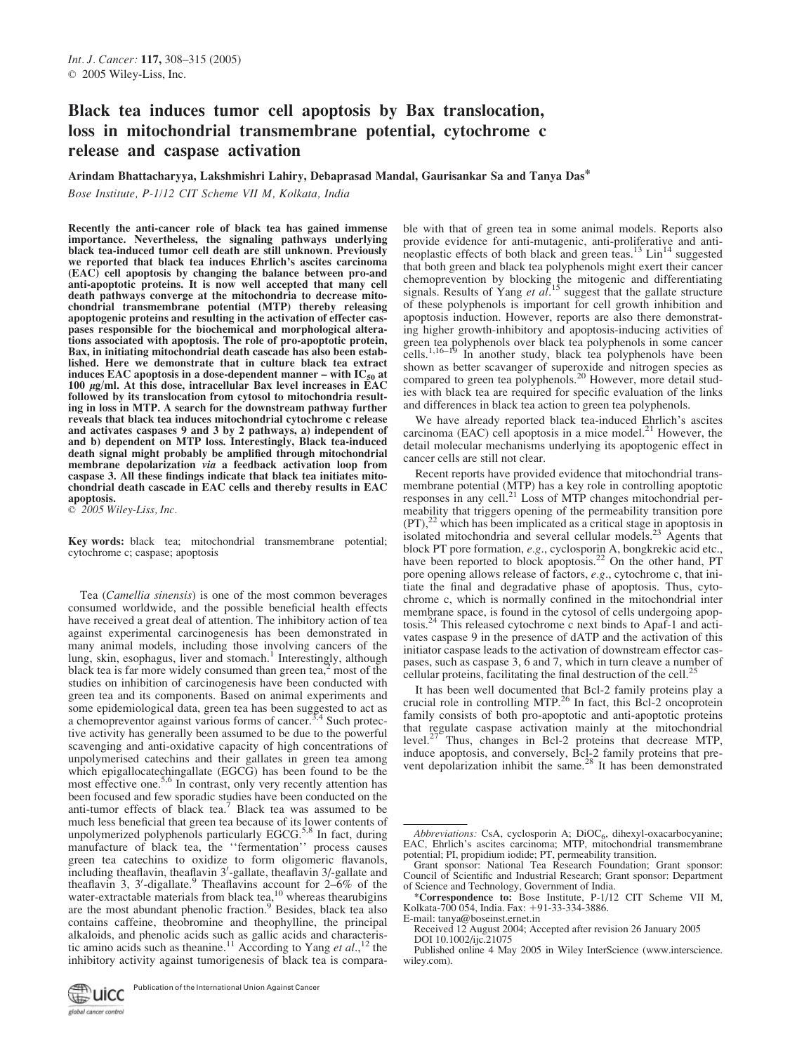# Black tea induces tumor cell apoptosis by Bax translocation, loss in mitochondrial transmembrane potential, cytochrome c release and caspase activation

Arindam Bhattacharyya, Lakshmishri Lahiry, Debaprasad Mandal, Gaurisankar Sa and Tanya Das\* Bose Institute, P-1/12 CIT Scheme VII M, Kolkata, India

Recently the anti-cancer role of black tea has gained immense importance. Nevertheless, the signaling pathways underlying black tea-induced tumor cell death are still unknown. Previously we reported that black tea induces Ehrlich's ascites carcinoma (EAC) cell apoptosis by changing the balance between pro-and anti-apoptotic proteins. It is now well accepted that many cell death pathways converge at the mitochondria to decrease mitochondrial transmembrane potential (MTP) thereby releasing apoptogenic proteins and resulting in the activation of effecter caspases responsible for the biochemical and morphological alterations associated with apoptosis. The role of pro-apoptotic protein, Bax, in initiating mitochondrial death cascade has also been established. Here we demonstrate that in culture black tea extract induces EAC apoptosis in a dose-dependent manner – with  $IC_{50}$  at  $100 \mu g/ml$ . At this dose, intracellular Bax level increases in EAC followed by its translocation from cytosol to mitochondria resulting in loss in MTP. A search for the downstream pathway further reveals that black tea induces mitochondrial cytochrome c release and activates caspases 9 and 3 by 2 pathways, a) independent of and b) dependent on MTP loss. Interestingly, Black tea-induced death signal might probably be amplified through mitochondrial membrane depolarization via a feedback activation loop from caspase 3. All these findings indicate that black tea initiates mitochondrial death cascade in EAC cells and thereby results in EAC apoptosis.

 $\odot$  2005 Wiley-Liss, Inc.

Key words: black tea; mitochondrial transmembrane potential; cytochrome c; caspase; apoptosis

Tea (Camellia sinensis) is one of the most common beverages consumed worldwide, and the possible beneficial health effects have received a great deal of attention. The inhibitory action of tea against experimental carcinogenesis has been demonstrated in many animal models, including those involving cancers of the lung, skin, esophagus, liver and stomach.<sup>1</sup> Interestingly, although black tea is far more widely consumed than green tea, $\frac{2}{3}$  most of the studies on inhibition of carcinogenesis have been conducted with green tea and its components. Based on animal experiments and some epidemiological data, green tea has been suggested to act as a chemopreventor against various forms of cancer.<sup>3,4</sup> Such protective activity has generally been assumed to be due to the powerful scavenging and anti-oxidative capacity of high concentrations of unpolymerised catechins and their gallates in green tea among which epigallocatechingallate (EGCG) has been found to be the most effective one.<sup>5,6</sup> In contrast, only very recently attention has been focused and few sporadic studies have been conducted on the anti-tumor effects of black tea.<sup>7</sup> Black tea was assumed to be much less beneficial that green tea because of its lower contents of unpolymerized polyphenols particularly EGCG.<sup>5,8</sup> In fact, during manufacture of black tea, the ''fermentation'' process causes green tea catechins to oxidize to form oligomeric flavanols, including theaflavin, theaflavin 3'-gallate, theaflavin 3'-gallate and theaflavin 3, 3'-digallate.<sup>9</sup> Theaflavins account for  $2-6%$  of the water-extractable materials from black tea, $^{10}$  whereas thearubigins are the most abundant phenolic fraction.<sup>9</sup> Besides, black tea also contains caffeine, theobromine and theophylline, the principal alkaloids, and phenolic acids such as gallic acids and characteristic amino acids such as theanine.<sup>11</sup> According to Yang *et al.*,<sup>12</sup> the inhibitory activity against tumorigenesis of black tea is compara-

Publication of the International Union Against Cancer∰uicc



ble with that of green tea in some animal models. Reports also provide evidence for anti-mutagenic, anti-proliferative and antineoplastic effects of both black and green teas. $^{13}$  Lin<sup>14</sup> suggested that both green and black tea polyphenols might exert their cancer chemoprevention by blocking the mitogenic and differentiating signals. Results of Yang et  $a\overline{I}$ <sup>15</sup> suggest that the gallate structure of these polyphenols is important for cell growth inhibition and apoptosis induction. However, reports are also there demonstrating higher growth-inhibitory and apoptosis-inducing activities of green tea polyphenols over black tea polyphenols in some cancer cells.<sup>1,16–19</sup> In another study, black tea polyphenols have been shown as better scavanger of superoxide and nitrogen species as compared to green tea polyphenols.<sup>20</sup> However, more detail studies with black tea are required for specific evaluation of the links and differences in black tea action to green tea polyphenols.

We have already reported black tea-induced Ehrlich's ascites carcinoma (EAC) cell apoptosis in a mice model.<sup>21</sup> However, the detail molecular mechanisms underlying its apoptogenic effect in cancer cells are still not clear.

Recent reports have provided evidence that mitochondrial transmembrane potential (MTP) has a key role in controlling apoptotic responses in any cell.<sup>21</sup> Loss of MTP changes mitochondrial permeability that triggers opening of the permeability transition pore  $(PT)$ ,<sup>22</sup> which has been implicated as a critical stage in apoptosis in isolated mitochondria and several cellular models.<sup>23</sup> Agents that block PT pore formation, *e.g.*, cyclosporin A, bongkrekic acid etc., have been reported to block apoptosis.<sup>22</sup> On the other hand, PT pore opening allows release of factors, e.g., cytochrome c, that initiate the final and degradative phase of apoptosis. Thus, cytochrome c, which is normally confined in the mitochondrial inter membrane space, is found in the cytosol of cells undergoing apop-<br>tosis.<sup>24</sup> This released cytochrome c next binds to Apaf-1 and activates caspase 9 in the presence of dATP and the activation of this initiator caspase leads to the activation of downstream effector caspases, such as caspase 3, 6 and 7, which in turn cleave a number of cellular proteins, facilitating the final destruction of the cell.<sup>2</sup>

It has been well documented that Bcl-2 family proteins play a crucial role in controlling MTP.<sup>26</sup> In fact, this Bcl-2 oncoprotein family consists of both pro-apoptotic and anti-apoptotic proteins that regulate caspase activation mainly at the mitochondrial level.<sup>27</sup> Thus, changes in Bcl-2 proteins that decrease MTP, induce apoptosis, and conversely, Bcl-2 family proteins that pre-<br>vent depolarization inhibit the same.<sup>28</sup> It has been demonstrated

- E-mail: tanya@boseinst.ernet.in Received 12 August 2004; Accepted after revision 26 January 2005
- DOI 10.1002/ijc.21075

Published online 4 May 2005 in Wiley InterScience (www.interscience. wiley.com).

Abbreviations: CsA, cyclosporin A; DiOC<sub>6</sub>, dihexyl-oxacarbocyanine; EAC, Ehrlich's ascites carcinoma; MTP, mitochondrial transmembrane potential; PI, propidium iodide; PT, permeability transition.

Grant sponsor: National Tea Research Foundation; Grant sponsor: Council of Scientific and Industrial Research; Grant sponsor: Department

of Science and Technology, Government of India. \*Correspondence to: Bose Institute, P-1/12 CIT Scheme VII M, Kolkata-700 054, India. Fax: +91-33-334-3886.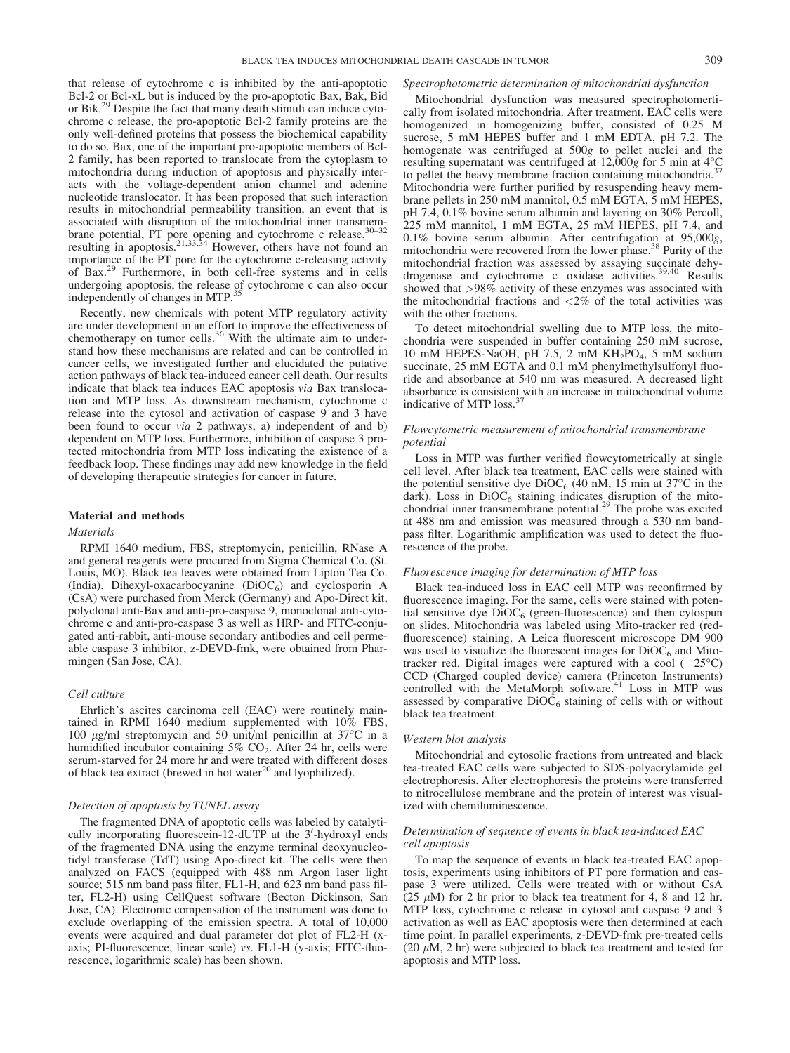that release of cytochrome c is inhibited by the anti-apoptotic Bcl-2 or Bcl-xL but is induced by the pro-apoptotic Bax, Bak, Bid or Bik.<sup>29</sup> Despite the fact that many death stimuli can induce cytochrome c release, the pro-apoptotic Bcl-2 family proteins are the only well-defined proteins that possess the biochemical capability to do so. Bax, one of the important pro-apoptotic members of Bcl-2 family, has been reported to translocate from the cytoplasm to mitochondria during induction of apoptosis and physically interacts with the voltage-dependent anion channel and adenine nucleotide translocator. It has been proposed that such interaction results in mitochondrial permeability transition, an event that is associated with disruption of the mitochondrial inner transmem-<br> $\frac{30-32}{2}$ brane potential, PT pore opening and cytochrome c release,  $30-32$ resulting in apoptosis.<sup>21,33,34</sup> However, others have not found an importance of the PT pore for the cytochrome c-releasing activity of Bax.<sup>29</sup> Furthermore, in both cell-free systems and in cells undergoing apoptosis, the release of cytochrome c can also occur<br>independently of changes in  $MTD<sup>35</sup>$ independently of changes in MTP.<sup>3</sup>

Recently, new chemicals with potent MTP regulatory activity are under development in an effort to improve the effectiveness of chemotherapy on tumor cells.<sup>36</sup> With the ultimate aim to understand how these mechanisms are related and can be controlled in cancer cells, we investigated further and elucidated the putative action pathways of black tea-induced cancer cell death. Our results indicate that black tea induces EAC apoptosis via Bax translocation and MTP loss. As downstream mechanism, cytochrome c release into the cytosol and activation of caspase 9 and 3 have been found to occur *via* 2 pathways, a) independent of and b) dependent on MTP loss. Furthermore, inhibition of caspase 3 protected mitochondria from MTP loss indicating the existence of a feedback loop. These findings may add new knowledge in the field of developing therapeutic strategies for cancer in future.

# Material and methods

# **Materials**

RPMI 1640 medium, FBS, streptomycin, penicillin, RNase A and general reagents were procured from Sigma Chemical Co. (St. Louis, MO). Black tea leaves were obtained from Lipton Tea Co. (India). Dihexyl-oxacarbocyanine  $(DiOC<sub>6</sub>)$  and cyclosporin A (CsA) were purchased from Merck (Germany) and Apo-Direct kit, polyclonal anti-Bax and anti-pro-caspase 9, monoclonal anti-cytochrome c and anti-pro-caspase 3 as well as HRP- and FITC-conjugated anti-rabbit, anti-mouse secondary antibodies and cell permeable caspase 3 inhibitor, z-DEVD-fmk, were obtained from Pharmingen (San Jose, CA).

# Cell culture

Ehrlich's ascites carcinoma cell (EAC) were routinely maintained in RPMI 1640 medium supplemented with 10% FBS, 100  $\mu$ g/ml streptomycin and 50 unit/ml penicillin at 37 $\degree$ C in a humidified incubator containing  $5\%$  CO<sub>2</sub>. After 24 hr, cells were serum-starved for 24 more hr and were treated with different doses of black tea extract (brewed in hot water<sup>20</sup> and lyophilized).

### Detection of apoptosis by TUNEL assay

The fragmented DNA of apoptotic cells was labeled by catalytically incorporating fluorescein-12-dUTP at the 3'-hydroxyl ends of the fragmented DNA using the enzyme terminal deoxynucleotidyl transferase (TdT) using Apo-direct kit. The cells were then analyzed on FACS (equipped with 488 nm Argon laser light source; 515 nm band pass filter, FL1-H, and 623 nm band pass filter, FL2-H) using CellQuest software (Becton Dickinson, San Jose, CA). Electronic compensation of the instrument was done to exclude overlapping of the emission spectra. A total of 10,000 events were acquired and dual parameter dot plot of FL2-H (xaxis; PI-fluorescence, linear scale) vs. FL1-H (y-axis; FITC-fluorescence, logarithmic scale) has been shown.

#### Spectrophotometric determination of mitochondrial dysfunction

Mitochondrial dysfunction was measured spectrophotomertically from isolated mitochondria. After treatment, EAC cells were homogenized in homogenizing buffer, consisted of 0.25 M sucrose, 5 mM HEPES buffer and 1 mM EDTA, pH 7.2. The homogenate was centrifuged at 500g to pellet nuclei and the resulting supernatant was centrifuged at 12,000g for 5 min at  $4^{\circ}$ C to pellet the heavy membrane fraction containing mitochondria. $37$ Mitochondria were further purified by resuspending heavy membrane pellets in 250 mM mannitol, 0.5 mM EGTA, 5 mM HEPES, pH 7.4, 0.1% bovine serum albumin and layering on 30% Percoll, 225 mM mannitol, 1 mM EGTA, 25 mM HEPES, pH 7.4, and 0.1% bovine serum albumin. After centrifugation at  $95,000g$ , mitochondria were recovered from the lower phase.<sup>38</sup> Purity of the mitochondrial fraction was assessed by assaying succinate dehy-<br>drogenase and cytochrome c oxidase activities.<sup>39,40</sup> Results showed that >98% activity of these enzymes was associated with the mitochondrial fractions and  $\langle 2\%$  of the total activities was with the other fractions.

To detect mitochondrial swelling due to MTP loss, the mitochondria were suspended in buffer containing 250 mM sucrose, 10 mM HEPES-NaOH, pH 7.5, 2 mM  $KH_2PO_4$ , 5 mM sodium succinate, 25 mM EGTA and 0.1 mM phenylmethylsulfonyl fluoride and absorbance at 540 nm was measured. A decreased light absorbance is consistent with an increase in mitochondrial volume indicative of MTP loss.<sup>3</sup>

# Flowcytometric measurement of mitochondrial transmembrane potential

Loss in MTP was further verified flowcytometrically at single cell level. After black tea treatment, EAC cells were stained with the potential sensitive dye  $DiOC_6$  (40 nM, 15 min at 37°C in the dark). Loss in  $DiOC_6$  staining indicates disruption of the mitochondrial inner transmembrane potential.<sup>29</sup> The probe was excited at 488 nm and emission was measured through a 530 nm bandpass filter. Logarithmic amplification was used to detect the fluorescence of the probe.

### Fluorescence imaging for determination of MTP loss

Black tea-induced loss in EAC cell MTP was reconfirmed by fluorescence imaging. For the same, cells were stained with potential sensitive dye  $DiOC_6$  (green-fluorescence) and then cytospun on slides. Mitochondria was labeled using Mito-tracker red (redfluorescence) staining. A Leica fluorescent microscope DM 900 was used to visualize the fluorescent images for  $DiOC<sub>6</sub>$  and Mitotracker red. Digital images were captured with a cool  $(-25^{\circ}C)$ CCD (Charged coupled device) camera (Princeton Instruments) controlled with the MetaMorph software.<sup>41</sup> Loss in MTP was assessed by comparative  $DiOC_6$  staining of cells with or without black tea treatment.

### Western blot analysis

Mitochondrial and cytosolic fractions from untreated and black tea-treated EAC cells were subjected to SDS-polyacrylamide gel electrophoresis. After electrophoresis the proteins were transferred to nitrocellulose membrane and the protein of interest was visualized with chemiluminescence.

# Determination of sequence of events in black tea-induced EAC cell apoptosis

To map the sequence of events in black tea-treated EAC apoptosis, experiments using inhibitors of PT pore formation and caspase 3 were utilized. Cells were treated with or without CsA (25  $\mu$ M) for 2 hr prior to black tea treatment for 4, 8 and 12 hr. MTP loss, cytochrome c release in cytosol and caspase 9 and 3 activation as well as EAC apoptosis were then determined at each time point. In parallel experiments, z-DEVD-fmk pre-treated cells (20  $\mu$ M, 2 hr) were subjected to black tea treatment and tested for apoptosis and MTP loss.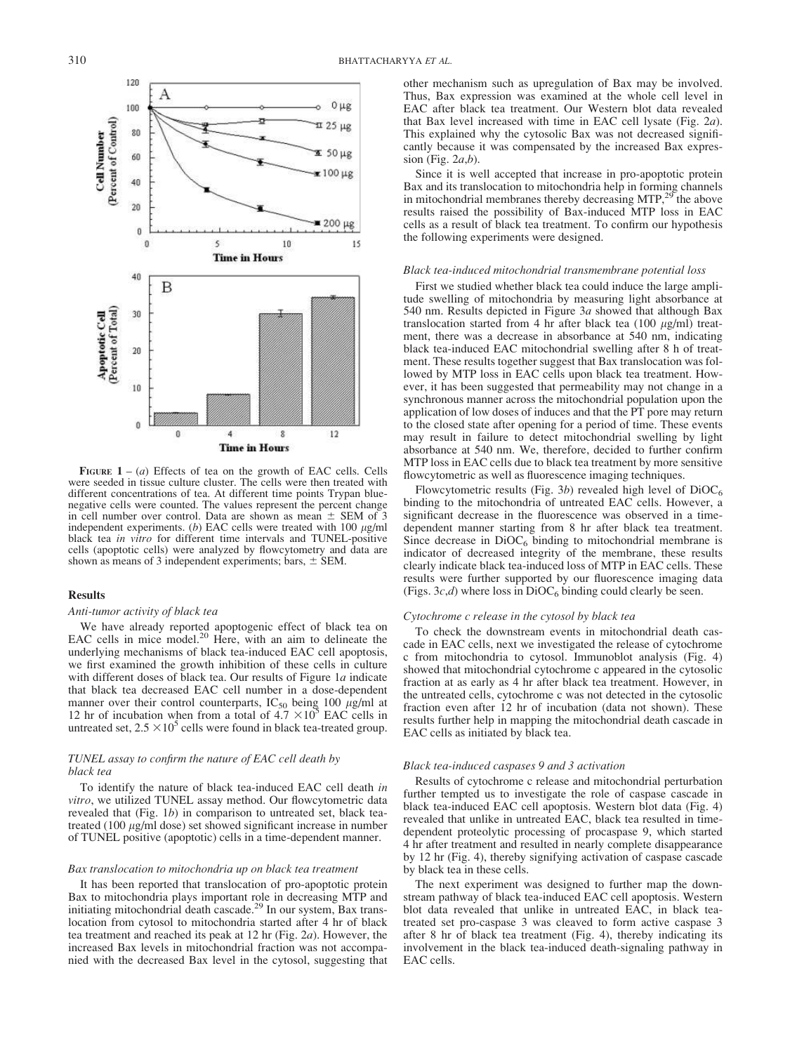

FIGURE  $1 - (a)$  Effects of tea on the growth of EAC cells. Cells were seeded in tissue culture cluster. The cells were then treated with different concentrations of tea. At different time points Trypan bluenegative cells were counted. The values represent the percent change in cell number over control. Data are shown as mean  $\pm$  SEM of 3 independent experiments. (b) EAC cells were treated with  $100 \mu g/ml$ black tea in vitro for different time intervals and TUNEL-positive cells (apoptotic cells) were analyzed by flowcytometry and data are shown as means of 3 independent experiments; bars,  $\pm$  SEM.

# Results

### Anti-tumor activity of black tea

We have already reported apoptogenic effect of black tea on EAC cells in mice model. $^{20}$  Here, with an aim to delineate the underlying mechanisms of black tea-induced EAC cell apoptosis, we first examined the growth inhibition of these cells in culture with different doses of black tea. Our results of Figure  $1a$  indicate that black tea decreased EAC cell number in a dose-dependent manner over their control counterparts, IC<sub>50</sub> being 100  $\mu$ g/ml at 12 hr of incubation when from a total of 4.7 × 10<sup>5</sup> EAC cells in untreated set,  $2.5 \times 10^5$  cells were found in black tea-treated group.

# TUNEL assay to confirm the nature of EAC cell death by black tea

To identify the nature of black tea-induced EAC cell death in vitro, we utilized TUNEL assay method. Our flowcytometric data revealed that (Fig. 1b) in comparison to untreated set, black teatreated (100  $\mu$ g/ml dose) set showed significant increase in number of TUNEL positive (apoptotic) cells in a time-dependent manner.

### Bax translocation to mitochondria up on black tea treatment

It has been reported that translocation of pro-apoptotic protein Bax to mitochondria plays important role in decreasing MTP and initiating mitochondrial death cascade.<sup>29</sup> In our system, Bax translocation from cytosol to mitochondria started after 4 hr of black tea treatment and reached its peak at 12 hr (Fig. 2a). However, the increased Bax levels in mitochondrial fraction was not accompanied with the decreased Bax level in the cytosol, suggesting that other mechanism such as upregulation of Bax may be involved. Thus, Bax expression was examined at the whole cell level in EAC after black tea treatment. Our Western blot data revealed that Bax level increased with time in EAC cell lysate (Fig. 2a). This explained why the cytosolic Bax was not decreased significantly because it was compensated by the increased Bax expression (Fig.  $2a,b$ ).

Since it is well accepted that increase in pro-apoptotic protein Bax and its translocation to mitochondria help in forming channels in mitochondrial membranes thereby decreasing  $MTP$ ,<sup>29</sup> the above results raised the possibility of Bax-induced MTP loss in EAC cells as a result of black tea treatment. To confirm our hypothesis the following experiments were designed.

### Black tea-induced mitochondrial transmembrane potential loss

First we studied whether black tea could induce the large amplitude swelling of mitochondria by measuring light absorbance at 540 nm. Results depicted in Figure 3a showed that although Bax translocation started from 4 hr after black tea (100  $\mu$ g/ml) treatment, there was a decrease in absorbance at 540 nm, indicating black tea-induced EAC mitochondrial swelling after 8 h of treatment. These results together suggest that Bax translocation was followed by MTP loss in EAC cells upon black tea treatment. However, it has been suggested that permeability may not change in a synchronous manner across the mitochondrial population upon the application of low doses of induces and that the PT pore may return to the closed state after opening for a period of time. These events may result in failure to detect mitochondrial swelling by light absorbance at 540 nm. We, therefore, decided to further confirm MTP loss in EAC cells due to black tea treatment by more sensitive flowcytometric as well as fluorescence imaging techniques.

Flowcytometric results (Fig. 3b) revealed high level of  $DiOC<sub>6</sub>$ binding to the mitochondria of untreated EAC cells. However, a significant decrease in the fluorescence was observed in a timedependent manner starting from 8 hr after black tea treatment. Since decrease in  $DiOC_6$  binding to mitochondrial membrane is indicator of decreased integrity of the membrane, these results clearly indicate black tea-induced loss of MTP in EAC cells. These results were further supported by our fluorescence imaging data (Figs.  $3c,d$ ) where loss in DiOC<sub>6</sub> binding could clearly be seen.

### Cytochrome c release in the cytosol by black tea

To check the downstream events in mitochondrial death cascade in EAC cells, next we investigated the release of cytochrome c from mitochondria to cytosol. Immunoblot analysis (Fig. 4) showed that mitochondrial cytochrome c appeared in the cytosolic fraction at as early as 4 hr after black tea treatment. However, in the untreated cells, cytochrome c was not detected in the cytosolic fraction even after 12 hr of incubation (data not shown). These results further help in mapping the mitochondrial death cascade in EAC cells as initiated by black tea.

# Black tea-induced caspases 9 and 3 activation

Results of cytochrome c release and mitochondrial perturbation further tempted us to investigate the role of caspase cascade in black tea-induced EAC cell apoptosis. Western blot data (Fig. 4) revealed that unlike in untreated EAC, black tea resulted in timedependent proteolytic processing of procaspase 9, which started 4 hr after treatment and resulted in nearly complete disappearance by 12 hr (Fig. 4), thereby signifying activation of caspase cascade by black tea in these cells.

The next experiment was designed to further map the downstream pathway of black tea-induced EAC cell apoptosis. Western blot data revealed that unlike in untreated EAC, in black teatreated set pro-caspase 3 was cleaved to form active caspase 3 after 8 hr of black tea treatment (Fig. 4), thereby indicating its involvement in the black tea-induced death-signaling pathway in EAC cells.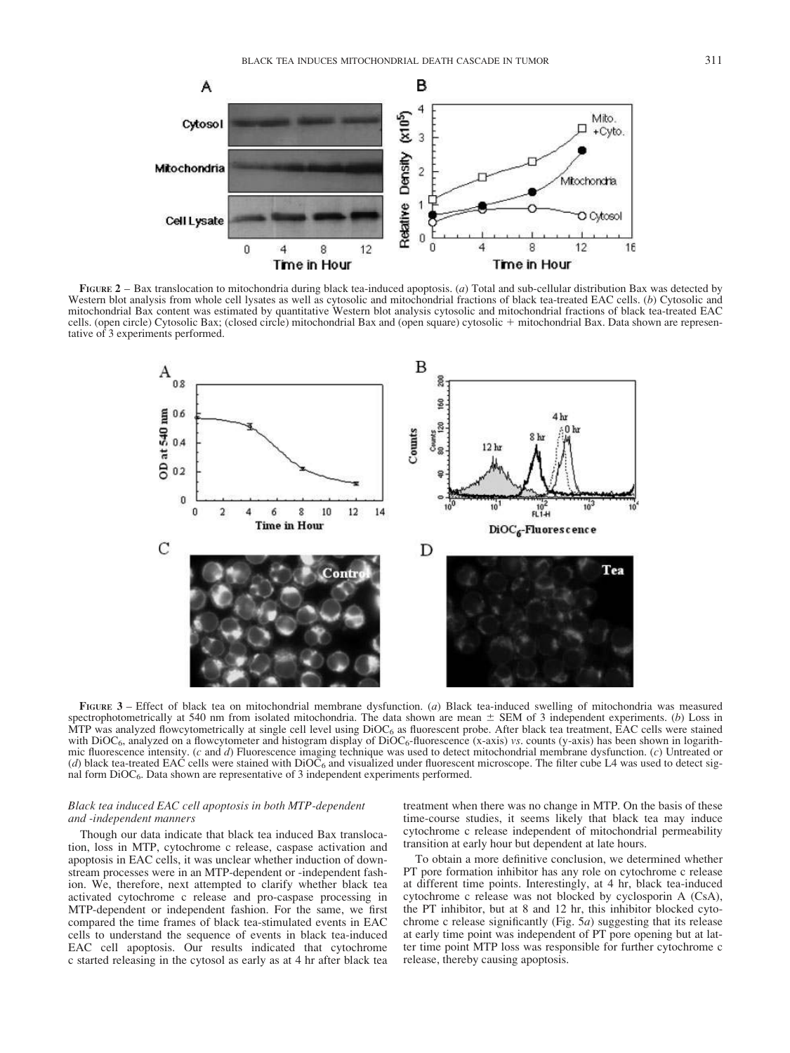

FIGURE 2 – Bax translocation to mitochondria during black tea-induced apoptosis. (a) Total and sub-cellular distribution Bax was detected by Western blot analysis from whole cell lysates as well as cytosolic and mitochondrial fractions of black tea-treated EAC cells. (b) Cytosolic and mitochondrial Bax content was estimated by quantitative Western blot analysis cytosolic and mitochondrial fractions of black tea-treated EAC cells. (open circle) Cytosolic Bax; (closed circle) mitochondrial Bax and (open square) cytosolic 1 mitochondrial Bax. Data shown are representative of 3 experiments performed.



FIGURE 3 – Effect of black tea on mitochondrial membrane dysfunction. (a) Black tea-induced swelling of mitochondria was measured spectrophotometrically at 540 nm from isolated mitochondria. The data shown are mean  $\pm$  SEM of 3 independent experiments. (b) Loss in MTP was analyzed flowcytometrically at single cell level using  $DiOC<sub>6</sub>$  as fluorescent probe. After black tea treatment, EAC cells were stained with DiOC<sub>6</sub>, analyzed on a flowcytometer and histogram display of DiOC<sub>6</sub>-fluorescence (x-axis) vs. counts (y-axis) has been shown in logarithmic fluorescence intensity. (c and  $d$ ) Fluorescence imaging technique was used to detect mitochondrial membrane dysfunction. (c) Untreated or (d) black tea-treated EAC cells were stained with  $DiOC_6$  and visualized under fluorescent microscope. The filter cube L4 was used to detect signal form  $DiOC_6$ . Data shown are representative of 3 independent experiments performed.

# Black tea induced EAC cell apoptosis in both MTP-dependent and -independent manners

Though our data indicate that black tea induced Bax translocation, loss in MTP, cytochrome c release, caspase activation and apoptosis in EAC cells, it was unclear whether induction of downstream processes were in an MTP-dependent or -independent fashion. We, therefore, next attempted to clarify whether black tea activated cytochrome c release and pro-caspase processing in MTP-dependent or independent fashion. For the same, we first compared the time frames of black tea-stimulated events in EAC cells to understand the sequence of events in black tea-induced EAC cell apoptosis. Our results indicated that cytochrome c started releasing in the cytosol as early as at 4 hr after black tea treatment when there was no change in MTP. On the basis of these time-course studies, it seems likely that black tea may induce cytochrome c release independent of mitochondrial permeability transition at early hour but dependent at late hours.

To obtain a more definitive conclusion, we determined whether PT pore formation inhibitor has any role on cytochrome c release at different time points. Interestingly, at 4 hr, black tea-induced cytochrome c release was not blocked by cyclosporin A (CsA), the PT inhibitor, but at 8 and 12 hr, this inhibitor blocked cytochrome c release significantly (Fig. 5a) suggesting that its release at early time point was independent of PT pore opening but at latter time point MTP loss was responsible for further cytochrome c release, thereby causing apoptosis.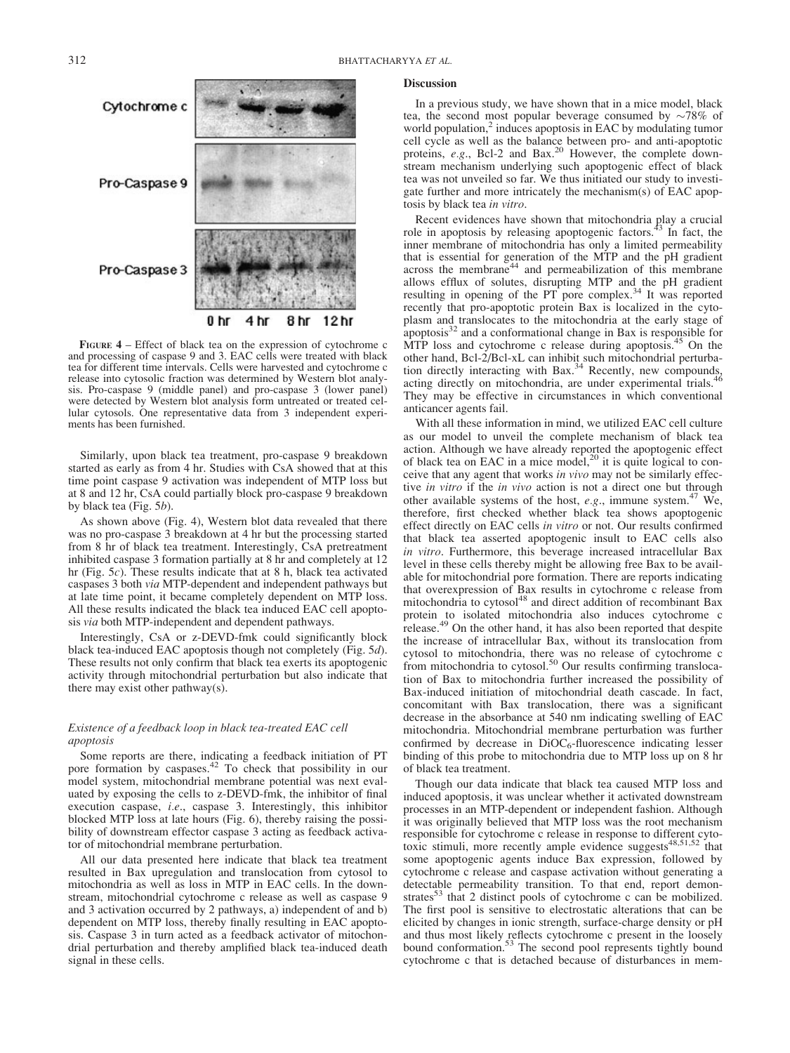

FIGURE 4 – Effect of black tea on the expression of cytochrome c and processing of caspase 9 and 3. EAC cells were treated with black tea for different time intervals. Cells were harvested and cytochrome c release into cytosolic fraction was determined by Western blot analysis. Pro-caspase 9 (middle panel) and pro-caspase 3 (lower panel) were detected by Western blot analysis form untreated or treated cellular cytosols. One representative data from 3 independent experiments has been furnished.

Similarly, upon black tea treatment, pro-caspase 9 breakdown started as early as from 4 hr. Studies with CsA showed that at this time point caspase 9 activation was independent of MTP loss but at 8 and 12 hr, CsA could partially block pro-caspase 9 breakdown by black tea (Fig. 5b).

As shown above (Fig. 4), Western blot data revealed that there was no pro-caspase 3 breakdown at 4 hr but the processing started from 8 hr of black tea treatment. Interestingly, CsA pretreatment inhibited caspase 3 formation partially at 8 hr and completely at 12 hr (Fig. 5c). These results indicate that at 8 h, black tea activated caspases 3 both via MTP-dependent and independent pathways but at late time point, it became completely dependent on MTP loss. All these results indicated the black tea induced EAC cell apoptosis via both MTP-independent and dependent pathways.

Interestingly, CsA or z-DEVD-fmk could significantly block black tea-induced EAC apoptosis though not completely (Fig. 5d). These results not only confirm that black tea exerts its apoptogenic activity through mitochondrial perturbation but also indicate that there may exist other pathway(s).

# Existence of a feedback loop in black tea-treated EAC cell apoptosis

Some reports are there, indicating a feedback initiation of PT pore formation by caspases.<sup>42</sup> To check that possibility in our model system, mitochondrial membrane potential was next evaluated by exposing the cells to z-DEVD-fmk, the inhibitor of final execution caspase, i.e., caspase 3. Interestingly, this inhibitor blocked MTP loss at late hours (Fig. 6), thereby raising the possibility of downstream effector caspase 3 acting as feedback activator of mitochondrial membrane perturbation.

All our data presented here indicate that black tea treatment resulted in Bax upregulation and translocation from cytosol to mitochondria as well as loss in MTP in EAC cells. In the downstream, mitochondrial cytochrome c release as well as caspase 9 and 3 activation occurred by 2 pathways, a) independent of and b) dependent on MTP loss, thereby finally resulting in EAC apoptosis. Caspase 3 in turn acted as a feedback activator of mitochondrial perturbation and thereby amplified black tea-induced death signal in these cells.

#### **Discussion**

In a previous study, we have shown that in a mice model, black tea, the second most popular beverage consumed by  $\sim 78\%$  of world population,<sup>2</sup> induces apoptosis in EAC by modulating tumor cell cycle as well as the balance between pro- and anti-apoptotic proteins, e.g., Bcl-2 and Bax.<sup>20</sup> However, the complete downstream mechanism underlying such apoptogenic effect of black tea was not unveiled so far. We thus initiated our study to investigate further and more intricately the mechanism(s) of EAC apoptosis by black tea in vitro.

Recent evidences have shown that mitochondria play a crucial role in apoptosis by releasing apoptogenic factors.<sup>43</sup> In fact, the inner membrane of mitochondria has only a limited permeability that is essential for generation of the MTP and the pH gradient across the membrane<sup>44</sup> and permeabilization of this membrane allows efflux of solutes, disrupting MTP and the pH gradient resulting in opening of the PT pore complex.<sup>34</sup> It was reported recently that pro-apoptotic protein Bax is localized in the cytoplasm and translocates to the mitochondria at the early stage of apoptosis $32$  and a conformational change in Bax is responsible for MTP loss and cytochrome c release during apoptosis.<sup>45</sup> On the other hand, Bcl-2/Bcl-xL can inhibit such mitochondrial perturbation directly interacting with Bax.<sup>34</sup> Recently, new compounds, acting directly on mitochondria, are under experimental trials.<sup>46</sup> They may be effective in circumstances in which conventional anticancer agents fail.

With all these information in mind, we utilized EAC cell culture as our model to unveil the complete mechanism of black tea action. Although we have already reported the apoptogenic effect of black tea on EAC in a mice model, $^{20}$  it is quite logical to conceive that any agent that works in vivo may not be similarly effective *in vitro* if the *in vivo* action is not a direct one but through other available systems of the host,  $e.g.,$  immune system.<sup>47</sup> We, therefore, first checked whether black tea shows apoptogenic effect directly on EAC cells in vitro or not. Our results confirmed that black tea asserted apoptogenic insult to EAC cells also in vitro. Furthermore, this beverage increased intracellular Bax level in these cells thereby might be allowing free Bax to be available for mitochondrial pore formation. There are reports indicating that overexpression of Bax results in cytochrome c release from mitochondria to cytosol<sup>48</sup> and direct addition of recombinant Bax protein to isolated mitochondria also induces cytochrome c release.<sup>49</sup> On the other hand, it has also been reported that despite the increase of intracellular Bax, without its translocation from cytosol to mitochondria, there was no release of cytochrome c<br>from mitochondria to cytosol.<sup>50</sup> Our results confirming translocation of Bax to mitochondria further increased the possibility of Bax-induced initiation of mitochondrial death cascade. In fact, concomitant with Bax translocation, there was a significant decrease in the absorbance at 540 nm indicating swelling of EAC mitochondria. Mitochondrial membrane perturbation was further confirmed by decrease in  $DiOC_6$ -fluorescence indicating lesser binding of this probe to mitochondria due to MTP loss up on 8 hr of black tea treatment.

Though our data indicate that black tea caused MTP loss and induced apoptosis, it was unclear whether it activated downstream processes in an MTP-dependent or independent fashion. Although it was originally believed that MTP loss was the root mechanism responsible for cytochrome c release in response to different cyto-<br>toxic stimuli, more recently ample evidence suggests<sup>48,51,52</sup> that some apoptogenic agents induce Bax expression, followed by cytochrome c release and caspase activation without generating a detectable permeability transition. To that end, report demonstrates<sup>53</sup> that 2 distinct pools of cytochrome c can be mobilized. The first pool is sensitive to electrostatic alterations that can be elicited by changes in ionic strength, surface-charge density or pH and thus most likely reflects cytochrome c present in the loosely bound conformation.<sup>53</sup> The second pool represents tightly bound cytochrome c that is detached because of disturbances in mem-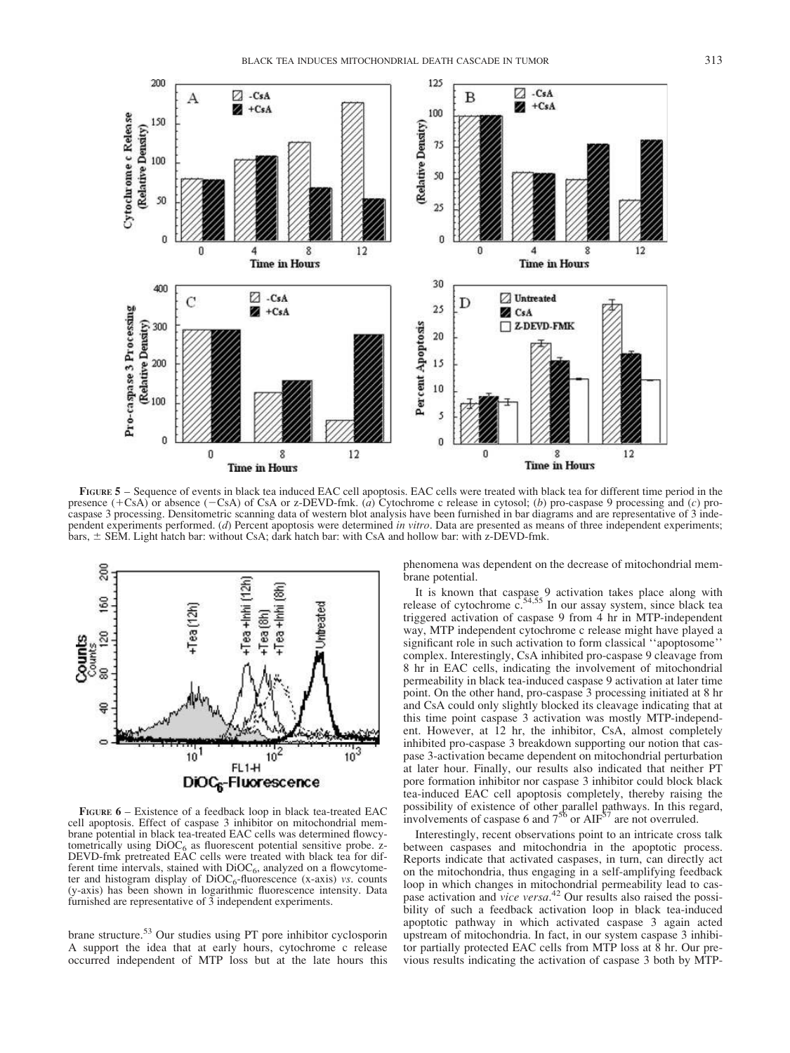



FIGURE 5 – Sequence of events in black tea induced EAC cell apoptosis. EAC cells were treated with black tea for different time period in the presence  $(+\text{CsA})$  or absence  $(-\text{CsA})$  of CsA or z-DEVD-fmk. (a) Cytochrome c release in cytosol; (b) pro-caspase 9 processing and (c) procaspase 3 processing. Densitometric scanning data of western blot analysis have been furnished in bar diagrams and are representative of 3 independent experiments performed. (d) Percent apoptosis were determined in vitro. Data are presented as means of three independent experiments; bars,  $\pm$  SEM. Light hatch bar: without CsA; dark hatch bar: with CsA and hollow bar: with z-DEVD-fmk.



FIGURE 6 – Existence of a feedback loop in black tea-treated EAC cell apoptosis. Effect of caspase 3 inhibitor on mitochondrial membrane potential in black tea-treated EAC cells was determined flowcytometrically using DiOC<sub>6</sub> as fluorescent potential sensitive probe. z-<br>DEVD-fmk pretreated EAC cells were treated with black tea for different time intervals, stained with  $DiOC_6$ , analyzed on a flowcytometer and histogram display of  $DiOC_6$ -fluorescence (x-axis) vs. counts (y-axis) has been shown in logarithmic fluorescence intensity. Data furnished are representative of  $\overline{3}$  independent experiments.

brane structure.<sup>53</sup> Our studies using PT pore inhibitor cyclosporin A support the idea that at early hours, cytochrome c release occurred independent of MTP loss but at the late hours this phenomena was dependent on the decrease of mitochondrial membrane potential.

It is known that caspase 9 activation takes place along with release of cytochrome  $c^{54,55}$  In our assay system, since black tea triggered activation of caspase 9 from 4 hr in MTP-independent way, MTP independent cytochrome c release might have played a significant role in such activation to form classical ''apoptosome'' complex. Interestingly, CsA inhibited pro-caspase 9 cleavage from 8 hr in EAC cells, indicating the involvement of mitochondrial permeability in black tea-induced caspase 9 activation at later time point. On the other hand, pro-caspase 3 processing initiated at 8 hr and CsA could only slightly blocked its cleavage indicating that at this time point caspase 3 activation was mostly MTP-independent. However, at 12 hr, the inhibitor, CsA, almost completely inhibited pro-caspase 3 breakdown supporting our notion that caspase 3-activation became dependent on mitochondrial perturbation at later hour. Finally, our results also indicated that neither PT pore formation inhibitor nor caspase 3 inhibitor could block black tea-induced EAC cell apoptosis completely, thereby raising the possibility of existence of other parallel pathways. In this regard, involvements of caspase 6 and  $7^{56}$  or AIF<sup>57</sup> are not overruled.

Interestingly, recent observations point to an intricate cross talk between caspases and mitochondria in the apoptotic process. Reports indicate that activated caspases, in turn, can directly act on the mitochondria, thus engaging in a self-amplifying feedback loop in which changes in mitochondrial permeability lead to caspase activation and vice versa.<sup>42</sup> Our results also raised the possibility of such a feedback activation loop in black tea-induced apoptotic pathway in which activated caspase 3 again acted upstream of mitochondria. In fact, in our system caspase 3 inhibitor partially protected EAC cells from MTP loss at 8 hr. Our previous results indicating the activation of caspase 3 both by MTP-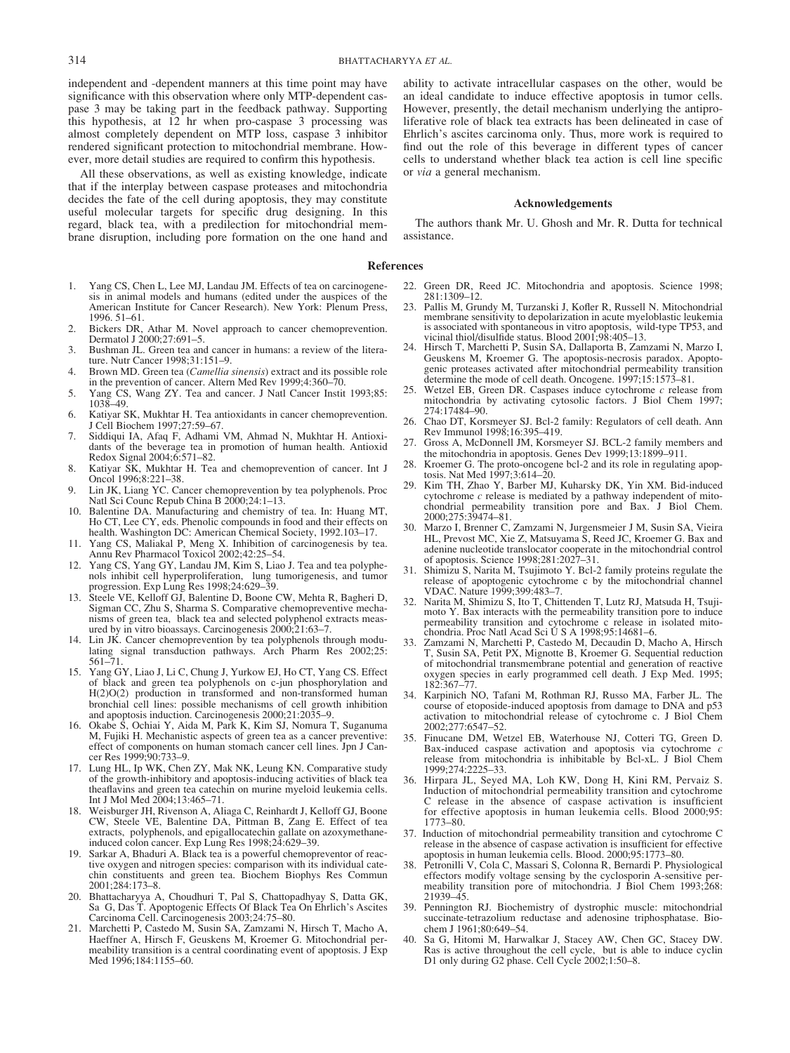independent and -dependent manners at this time point may have significance with this observation where only MTP-dependent caspase 3 may be taking part in the feedback pathway. Supporting this hypothesis, at 12 hr when pro-caspase 3 processing was almost completely dependent on MTP loss, caspase 3 inhibitor rendered significant protection to mitochondrial membrane. However, more detail studies are required to confirm this hypothesis.

All these observations, as well as existing knowledge, indicate that if the interplay between caspase proteases and mitochondria decides the fate of the cell during apoptosis, they may constitute useful molecular targets for specific drug designing. In this regard, black tea, with a predilection for mitochondrial membrane disruption, including pore formation on the one hand and

- 1. Yang CS, Chen L, Lee MJ, Landau JM. Effects of tea on carcinogenesis in animal models and humans (edited under the auspices of the American Institute for Cancer Research). New York: Plenum Press, 1996. 51–61.
- Bickers DR, Athar M. Novel approach to cancer chemoprevention. Dermatol J 2000;27:691–5.
- 3. Bushman JL. Green tea and cancer in humans: a review of the literature. Nutr Cancer 1998;31:151–9.
- Brown MD. Green tea (Camellia sinensis) extract and its possible role in the prevention of cancer. Altern Med Rev 1999;4:360–70.
- 5. Yang CS, Wang ZY. Tea and cancer. J Natl Cancer Instit 1993;85: 1038–49.
- 6. Katiyar SK, Mukhtar H. Tea antioxidants in cancer chemoprevention. J Cell Biochem 1997;27:59–67.
- 7. Siddiqui IA, Afaq F, Adhami VM, Ahmad N, Mukhtar H. Antioxidants of the beverage tea in promotion of human health. Antioxid Redox Signal 2004;6:571–82.
- 8. Katiyar SK, Mukhtar H. Tea and chemoprevention of cancer. Int J Oncol 1996;8:221–38.
- 9. Lin JK, Liang YC. Cancer chemoprevention by tea polyphenols. Proc Natl Sci Counc Repub China B 2000;24:1–13.
- Balentine DA. Manufacturing and chemistry of tea. In: Huang MT, Ho CT, Lee CY, eds. Phenolic compounds in food and their effects on health. Washington DC: American Chemical Society, 1992.103–17.
- 11. Yang CS, Maliakal P, Meng X. Inhibition of carcinogenesis by tea. Annu Rev Pharmacol Toxicol 2002;42:25–54.
- 12. Yang CS, Yang GY, Landau JM, Kim S, Liao J. Tea and tea polyphenols inhibit cell hyperproliferation, lung tumorigenesis, and tumor progression. Exp Lung Res 1998;24:629–39.
- 13. Steele VE, Kelloff GJ, Balentine D, Boone CW, Mehta R, Bagheri D, Sigman CC, Zhu S, Sharma S. Comparative chemopreventive mechanisms of green tea, black tea and selected polyphenol extracts measured by in vitro bioassays. Carcinogenesis 2000;21:63–7.
- 14. Lin JK. Cancer chemoprevention by tea polyphenols through modu-lating signal transduction pathways. Arch Pharm Res 2002;25: 561–71.
- 15. Yang GY, Liao J, Li C, Chung J, Yurkow EJ, Ho CT, Yang CS. Effect of black and green tea polyphenols on c-jun phosphorylation and H(2)O(2) production in transformed and non-transformed human bronchial cell lines: possible mechanisms of cell growth inhibition and apoptosis induction. Carcinogenesis 2000;21:2035–9.
- 16. Okabe S, Ochiai Y, Aida M, Park K, Kim SJ, Nomura T, Suganuma M, Fujiki H. Mechanistic aspects of green tea as a cancer preventive: effect of components on human stomach cancer cell lines. Jpn J Cancer Res 1999;90:733–9.
- 17. Lung HL, Ip WK, Chen ZY, Mak NK, Leung KN. Comparative study of the growth-inhibitory and apoptosis-inducing activities of black tea theaflavins and green tea catechin on murine myeloid leukemia cells. Int J Mol Med 2004;13:465–71.
- 18. Weisburger JH, Rivenson A, Aliaga C, Reinhardt J, Kelloff GJ, Boone CW, Steele VE, Balentine DA, Pittman B, Zang E. Effect of tea extracts, polyphenols, and epigallocatechin gallate on azoxymethaneinduced colon cancer. Exp Lung Res 1998;24:629–39.
- 19. Sarkar A, Bhaduri A. Black tea is a powerful chemopreventor of reactive oxygen and nitrogen species: comparison with its individual catechin constituents and green tea. Biochem Biophys Res Commun 2001;284:173–8.
- 20. Bhattacharyya A, Choudhuri T, Pal S, Chattopadhyay S, Datta GK, Sa G, Das T. Apoptogenic Effects Of Black Tea On Ehrlich's Ascites Carcinoma Cell. Carcinogenesis 2003;24:75–80.
- 21. Marchetti P, Castedo M, Susin SA, Zamzami N, Hirsch T, Macho A, Haeffner A, Hirsch F, Geuskens M, Kroemer G. Mitochondrial permeability transition is a central coordinating event of apoptosis. J Exp Med 1996;184:1155–60.

ability to activate intracellular caspases on the other, would be an ideal candidate to induce effective apoptosis in tumor cells. However, presently, the detail mechanism underlying the antiproliferative role of black tea extracts has been delineated in case of Ehrlich's ascites carcinoma only. Thus, more work is required to find out the role of this beverage in different types of cancer cells to understand whether black tea action is cell line specific or via a general mechanism.

# Acknowledgements

The authors thank Mr. U. Ghosh and Mr. R. Dutta for technical assistance.

# References

- 22. Green DR, Reed JC. Mitochondria and apoptosis. Science 1998; 281:1309–12.
- 23. Pallis M, Grundy M, Turzanski J, Kofler R, Russell N. Mitochondrial membrane sensitivity to depolarization in acute myeloblastic leukemia is associated with spontaneous in vitro apoptosis, wild-type TP53, and vicinal thiol/disulfide status. Blood 2001;98:405–13.
- 24. Hirsch T, Marchetti P, Susin SA, Dallaporta B, Zamzami N, Marzo I, Geuskens M, Kroemer G. The apoptosis-necrosis paradox. Apoptogenic proteases activated after mitochondrial permeability transition determine the mode of cell death. Oncogene. 1997;15:1573-81.
- 25. Wetzel EB, Green DR. Caspases induce cytochrome  $c$  release from mitochondria by activating cytosolic factors. J Biol Chem 1997; 274:17484–90.
- 26. Chao DT, Korsmeyer SJ. Bcl-2 family: Regulators of cell death. Ann Rev Immunol 1998;16:395–419.
- 27. Gross A, McDonnell JM, Korsmeyer SJ. BCL-2 family members and the mitochondria in apoptosis. Genes Dev 1999;13:1899–911.
- 28. Kroemer G. The proto-oncogene bcl-2 and its role in regulating apoptosis. Nat Med  $1997;3:614-20$ .
- 29. Kim TH, Zhao Y, Barber MJ, Kuharsky DK, Yin XM. Bid-induced cytochrome  $c$  release is mediated by a pathway independent of mitochondrial permeability transition pore and Bax. J Biol Chem. 2000;275:39474–81.
- 30. Marzo I, Brenner C, Zamzami N, Jurgensmeier J M, Susin SA, Vieira HL, Prevost MC, Xie Z, Matsuyama S, Reed JC, Kroemer G. Bax and adenine nucleotide translocator cooperate in the mitochondrial control of apoptosis. Science 1998;281:2027–31.
- 31. Shimizu S, Narita M, Tsujimoto Y. Bcl-2 family proteins regulate the release of apoptogenic cytochrome c by the mitochondrial channel VDAC. Nature 1999;399:483–7.
- 32. Narita M, Shimizu S, Ito T, Chittenden T, Lutz RJ, Matsuda H, Tsujimoto Y. Bax interacts with the permeability transition pore to induce permeability transition and cytochrome c release in isolated mitochondria. Proc Natl Acad Sci U S A 1998;95:14681–6.
- 33. Zamzami N, Marchetti P, Castedo M, Decaudin D, Macho A, Hirsch T, Susin SA, Petit PX, Mignotte B, Kroemer G. Sequential reduction of mitochondrial transmembrane potential and generation of reactive oxygen species in early programmed cell death. J Exp Med. 1995; 182:367–77.
- 34. Karpinich NO, Tafani M, Rothman RJ, Russo MA, Farber JL. The course of etoposide-induced apoptosis from damage to DNA and p53 activation to mitochondrial release of cytochrome c. J Biol Chem 2002;277:6547–52.
- 35. Finucane DM, Wetzel EB, Waterhouse NJ, Cotteri TG, Green D. Bax-induced caspase activation and apoptosis via cytochrome c release from mitochondria is inhibitable by Bcl-xL. J Biol Chem 1999;274:2225–33.
- 36. Hirpara JL, Seyed MA, Loh KW, Dong H, Kini RM, Pervaiz S. Induction of mitochondrial permeability transition and cytochrome C release in the absence of caspase activation is insufficient for effective apoptosis in human leukemia cells. Blood 2000;95: 1773–80.
- 37. Induction of mitochondrial permeability transition and cytochrome C release in the absence of caspase activation is insufficient for effective apoptosis in human leukemia cells. Blood. 2000;95:1773–80.
- 38. Petronilli V, Cola C, Massari S, Colonna R, Bernardi P. Physiological effectors modify voltage sensing by the cyclosporin A-sensitive permeability transition pore of mitochondria. J Biol Chem 1993;268: 21939–45.
- 39. Pennington RJ. Biochemistry of dystrophic muscle: mitochondrial succinate-tetrazolium reductase and adenosine triphosphatase. Biochem J 1961;80:649–54.
- 40. Sa G, Hitomi M, Harwalkar J, Stacey AW, Chen GC, Stacey DW. Ras is active throughout the cell cycle, but is able to induce cyclin D1 only during G2 phase. Cell Cycle 2002;1:50–8.